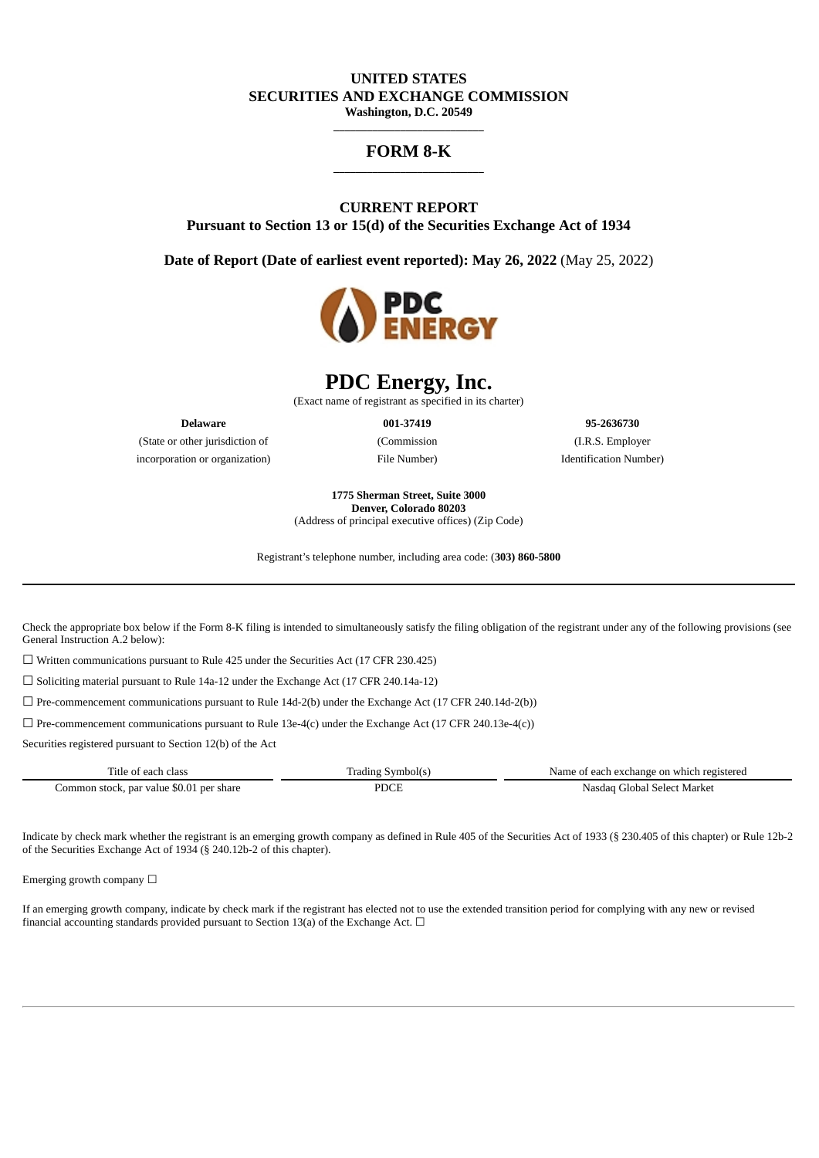# **UNITED STATES SECURITIES AND EXCHANGE COMMISSION**

**Washington, D.C. 20549 \_\_\_\_\_\_\_\_\_\_\_\_\_\_\_\_\_\_\_\_\_\_\_\_\_\_\_**

#### **FORM 8-K \_\_\_\_\_\_\_\_\_\_\_\_\_\_\_\_\_\_\_\_\_\_\_\_\_\_\_**

## **CURRENT REPORT Pursuant to Section 13 or 15(d) of the Securities Exchange Act of 1934**

**Date of Report (Date of earliest event reported): May 26, 2022** (May 25, 2022)



# **PDC Energy, Inc.**

(Exact name of registrant as specified in its charter)

(State or other jurisdiction of (Commission (I.R.S. Employer incorporation or organization) File Number) Identification Number)

**Delaware 001-37419 95-2636730**

**1775 Sherman Street, Suite 3000 Denver, Colorado 80203**

(Address of principal executive offices) (Zip Code)

Registrant's telephone number, including area code: (**303) 860-5800**

Check the appropriate box below if the Form 8-K filing is intended to simultaneously satisfy the filing obligation of the registrant under any of the following provisions (see General Instruction A.2 below):

 $\Box$  Written communications pursuant to Rule 425 under the Securities Act (17 CFR 230.425)

☐ Soliciting material pursuant to Rule 14a-12 under the Exchange Act (17 CFR 240.14a-12)

 $\Box$  Pre-commencement communications pursuant to Rule 14d-2(b) under the Exchange Act (17 CFR 240.14d-2(b))

 $\Box$  Pre-commencement communications pursuant to Rule 13e-4(c) under the Exchange Act (17 CFR 240.13e-4(c))

Securities registered pursuant to Section 12(b) of the Act

| ritle<br>$\sim$ $\sim$<br>, each                         | rading<br>≅vmb. | ı which registered<br>. each<br>ı exchange on<br>Nam |
|----------------------------------------------------------|-----------------|------------------------------------------------------|
| stock. par value \$0.01 و stock.<br>. per share<br>ommon |                 | . Select Market<br>' Tlobai<br>Nasdad                |

Indicate by check mark whether the registrant is an emerging growth company as defined in Rule 405 of the Securities Act of 1933 (§ 230.405 of this chapter) or Rule 12b-2 of the Securities Exchange Act of 1934 (§ 240.12b-2 of this chapter).

Emerging growth company  $\Box$ 

If an emerging growth company, indicate by check mark if the registrant has elected not to use the extended transition period for complying with any new or revised financial accounting standards provided pursuant to Section 13(a) of the Exchange Act.  $\Box$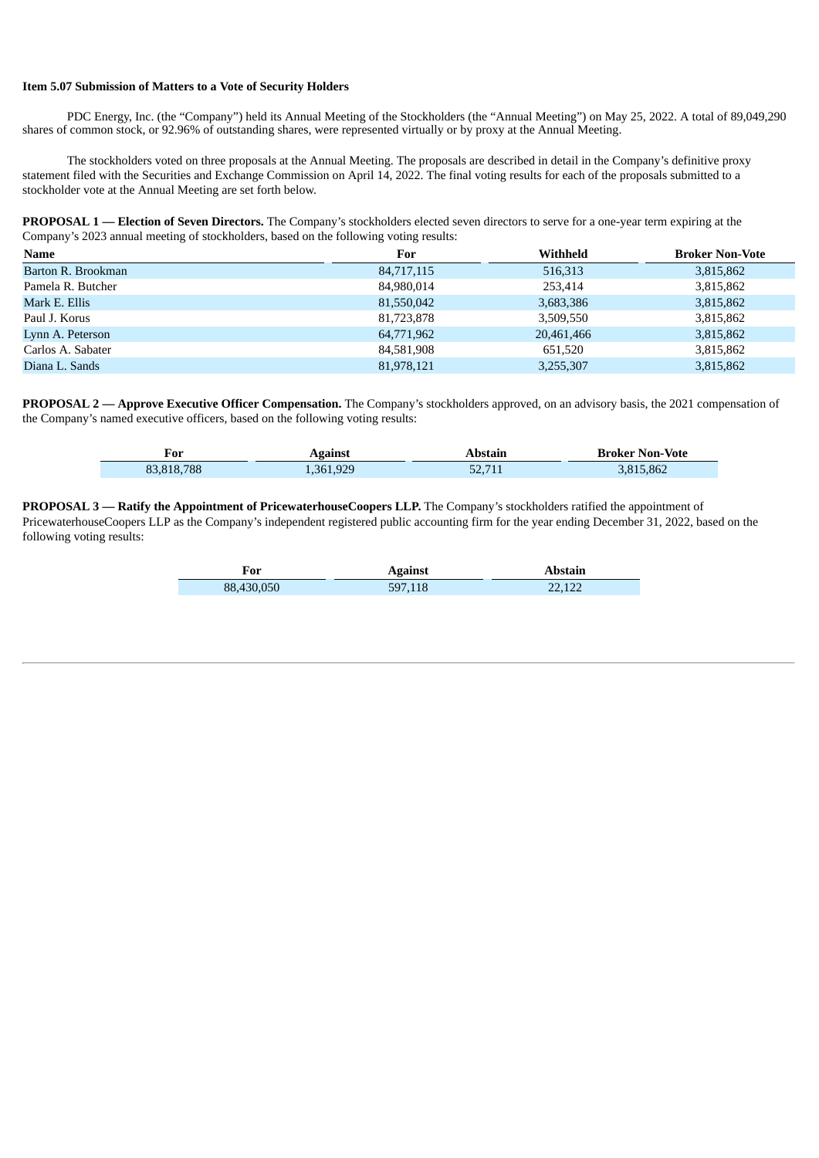#### **Item 5.07 Submission of Matters to a Vote of Security Holders**

PDC Energy, Inc. (the "Company") held its Annual Meeting of the Stockholders (the "Annual Meeting") on May 25, 2022. A total of 89,049,290 shares of common stock, or 92.96% of outstanding shares, were represented virtually or by proxy at the Annual Meeting.

The stockholders voted on three proposals at the Annual Meeting. The proposals are described in detail in the Company's definitive proxy statement filed with the Securities and Exchange Commission on April 14, 2022. The final voting results for each of the proposals submitted to a stockholder vote at the Annual Meeting are set forth below.

**PROPOSAL 1 — Election of Seven Directors.** The Company's stockholders elected seven directors to serve for a one-year term expiring at the Company's 2023 annual meeting of stockholders, based on the following voting results:

| Name               | For        | Withheld   | <b>Broker Non-Vote</b> |
|--------------------|------------|------------|------------------------|
| Barton R. Brookman | 84,717,115 | 516,313    | 3,815,862              |
| Pamela R. Butcher  | 84,980,014 | 253,414    | 3,815,862              |
| Mark E. Ellis      | 81,550,042 | 3,683,386  | 3,815,862              |
| Paul J. Korus      | 81,723,878 | 3,509,550  | 3,815,862              |
| Lynn A. Peterson   | 64,771,962 | 20,461,466 | 3,815,862              |
| Carlos A. Sabater  | 84,581,908 | 651,520    | 3,815,862              |
| Diana L. Sands     | 81,978,121 | 3,255,307  | 3,815,862              |

**PROPOSAL 2 — Approve Executive Officer Compensation.** The Company's stockholders approved, on an advisory basis, the 2021 compensation of the Company's named executive officers, based on the following voting results:

| For        | Against   | Abstain | <b>Broker Non-Vote</b> |
|------------|-----------|---------|------------------------|
| 83,818,788 | 1,361,929 | 52.711  | 3,815,862              |

**PROPOSAL 3 — Ratify the Appointment of PricewaterhouseCoopers LLP.** The Company's stockholders ratified the appointment of PricewaterhouseCoopers LLP as the Company's independent registered public accounting firm for the year ending December 31, 2022, based on the following voting results:

| For        | <b>Against</b> | Abstain |
|------------|----------------|---------|
| 88,430,050 | 597,118        | 22,122  |